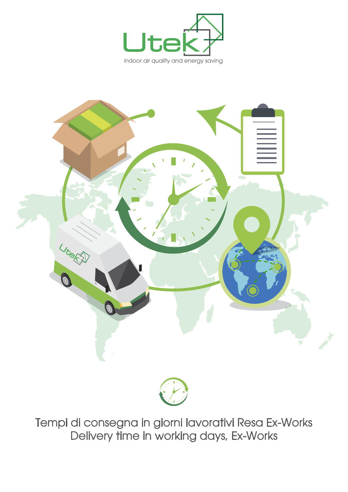





Tempi di consegna in giorni lavorativi Resa Ex-Works Delivery time in working days, Ex-Works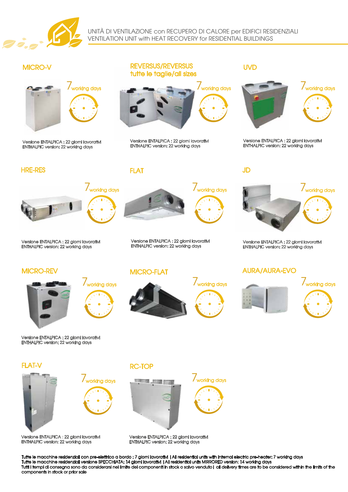

UNITÀ DI VENTILAZIONE con RECUPERO DI CALORE per EDIFICI RESIDENZIALI VENTILATION UNIT with HEAT RECOVERY for RESIDENTIAL BUILDINGS



Versione ENTALPICA : 22 giorni lavorativi ENTHALPIC version: 22 working days

## MICRO-V REVERSUS/REVERSUS tutte le taglie/all sizes



Versione ENTALPICA : 22 giorni lavorativi

## UVD



Versione ENTALPICA : 22 giorni lavorativi ENTHALPIC version: 22 working days



## Versione ENTALPICA : 22 giorni lavorativi ENTHALPIC version: 22 working days

### FLAT HRE-RES JD



Versione ENTALPICA : 22 giorni lavorativi ENTHALPIC version: 22 working days

## MICRO-REV MICRO-FLAT



Versione ENTALPICA : 22 giorni lavorativi ENTHALPIC version: 22 working days





Versione ENTALPICA : 22 giorni lavorativi ENTHALPIC version: 22 working days

## AURA/AURA-EVO





FLAT-V RC-TOP











## Versione ENTALPICA : 22 giorni lavorativi ENTHALPIC version: 22 working days

Versione ENTALPICA : 22 giorni lavorativi ENTHALPIC version: 22 working days

Tutte le macchine residenziali con pre-elettrico a bordo : 7 giorni lavorativi |All residential units with internal electric pre-heater: 7 working days Tutte le macchine residenziali versione SPECCHIATA: 14 giorni lavorativi |All residential units MIRRORED version: 14 working days Tutti i tempi di consegna sono da considerarsi nel limite dei componenti in stock o salvo venduto| all delivery times are to be considered within the limits of the components in stock or prior sale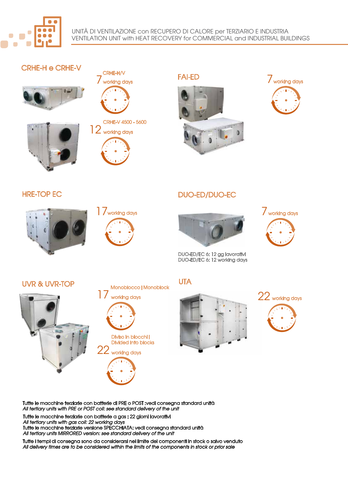

# CRHE-H e CRHE-V





CRHE-H/V

# CRHE-V 4500 - 5600



HRE-TOP EC

# 12 working days

FAI-ED









DUO-ED/EC 6: 12 gg lavorativi DUO-ED/EC 6: 12 working days



UVR & UVR-TOP UNITAL UTA









Tutte le macchine terziarie con batterie di PRE o POST :vedi consegna standard unità *All tertiary units with PRE or POST coil: see standard delivery of the unit*

Tutte le macchine terziarie con batterie a gas : 22 giorni lavorativi *All tertiary units with gas coil: 22 working days*

Tutte le macchine terziarie versione SPECCHIATA: vedi consegna standard unità *All tertiary units MIRRORED version: see standard delivery of the unit*

Tutte i tempi di consegna sono da considerarsi nel limite dei componenti in stock o salvo venduto *All delivery times are to be considered within the limits of the components in stock or prior sale*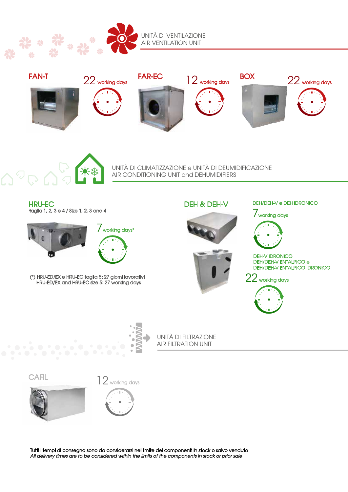



UNITÀ DI CLIMATIZZAZIONE e UNITÀ DI DEUMIDIFICAZIONE AIR CONDITIONING UNIT and DEHUMIDIFIERS

HRU-EC taglia 1, 2, 3 e 4 / Size 1, 2, 3 and 4



(\*) HRU-ED/EX e HRU-EC taglia 5: 27 giorni lavorativi HRU-ED/EX and HRU-EC size 5: 27 working days

DEH & DEH-V



# DEH/DEH-V e DEH IDRONICO

7working days











UNITÀ DI FILTRAZIONE AIR FILTRATION UNIT

**CAFIL** 





Tutti i tempi di consegna sono da considerarsi nel limite dei componenti in stock o salvo venduto *All delivery times are to be considered within the limits of the components in stock or prior sale*